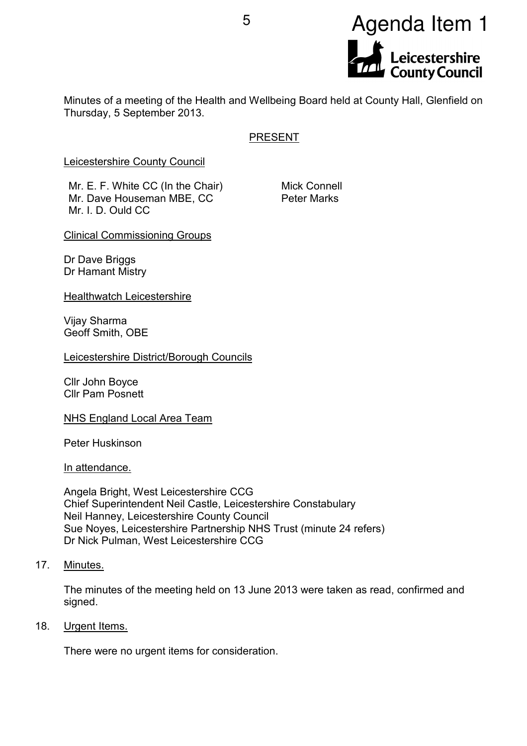

Minutes of a meeting of the Health and Wellbeing Board held at County Hall, Glenfield on Thursday, 5 September 2013.

# PRESENT

Leicestershire County Council

Mr. E. F. White CC (In the Chair) Mr. Dave Houseman MBE, CC Mr. I. D. Ould CC

Mick Connell Peter Marks

Clinical Commissioning Groups

Dr Dave Briggs Dr Hamant Mistry

Healthwatch Leicestershire

Vijay Sharma Geoff Smith, OBE

Leicestershire District/Borough Councils

Cllr John Boyce Cllr Pam Posnett

NHS England Local Area Team

Peter Huskinson

In attendance.

Angela Bright, West Leicestershire CCG Chief Superintendent Neil Castle, Leicestershire Constabulary Neil Hanney, Leicestershire County Council Sue Noyes, Leicestershire Partnership NHS Trust (minute 24 refers) Dr Nick Pulman, West Leicestershire CCG

17. Minutes.

The minutes of the meeting held on 13 June 2013 were taken as read, confirmed and signed.

18. Urgent Items.

There were no urgent items for consideration.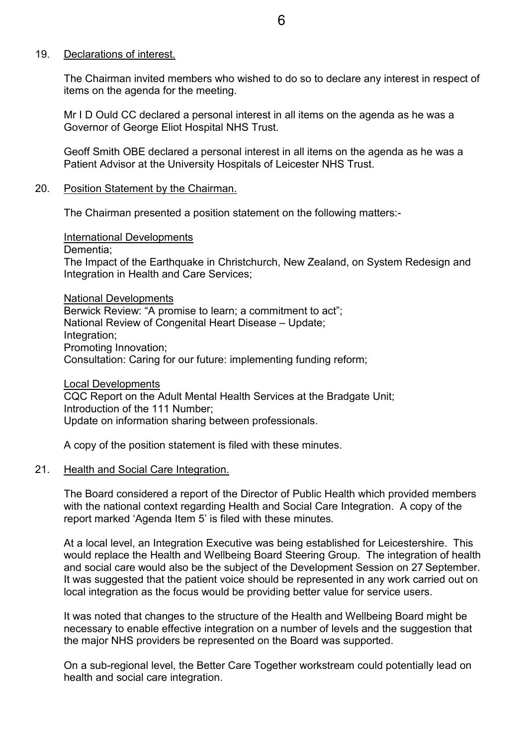### 19. Declarations of interest.

The Chairman invited members who wished to do so to declare any interest in respect of items on the agenda for the meeting.

Mr I D Ould CC declared a personal interest in all items on the agenda as he was a Governor of George Eliot Hospital NHS Trust.

Geoff Smith OBE declared a personal interest in all items on the agenda as he was a Patient Advisor at the University Hospitals of Leicester NHS Trust.

#### 20. Position Statement by the Chairman.

The Chairman presented a position statement on the following matters:-

International Developments

Dementia;

The Impact of the Earthquake in Christchurch, New Zealand, on System Redesign and Integration in Health and Care Services;

National Developments Berwick Review: "A promise to learn; a commitment to act"; National Review of Congenital Heart Disease – Update; Integration; Promoting Innovation; Consultation: Caring for our future: implementing funding reform;

Local Developments CQC Report on the Adult Mental Health Services at the Bradgate Unit; Introduction of the 111 Number; Update on information sharing between professionals.

A copy of the position statement is filed with these minutes.

#### 21. Health and Social Care Integration.

The Board considered a report of the Director of Public Health which provided members with the national context regarding Health and Social Care Integration. A copy of the report marked 'Agenda Item 5' is filed with these minutes.

At a local level, an Integration Executive was being established for Leicestershire. This would replace the Health and Wellbeing Board Steering Group. The integration of health and social care would also be the subject of the Development Session on 27 September. It was suggested that the patient voice should be represented in any work carried out on local integration as the focus would be providing better value for service users.

It was noted that changes to the structure of the Health and Wellbeing Board might be necessary to enable effective integration on a number of levels and the suggestion that the major NHS providers be represented on the Board was supported.

On a sub-regional level, the Better Care Together workstream could potentially lead on health and social care integration.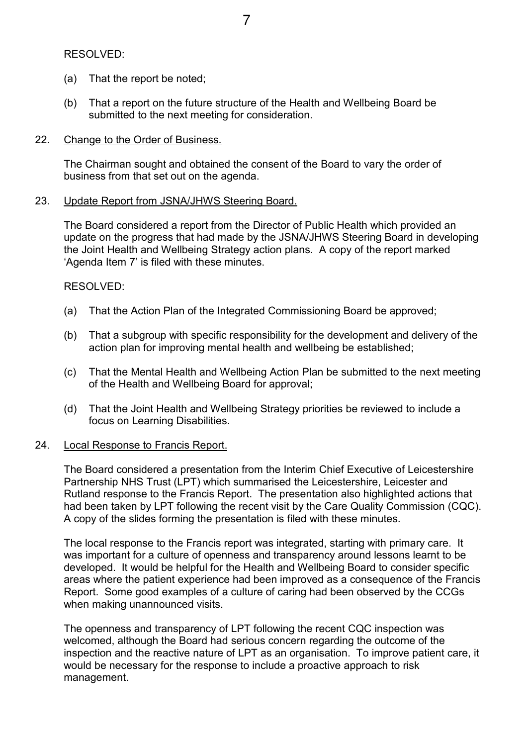RESOLVED:

- (a) That the report be noted;
- (b) That a report on the future structure of the Health and Wellbeing Board be submitted to the next meeting for consideration.

#### 22. Change to the Order of Business.

The Chairman sought and obtained the consent of the Board to vary the order of business from that set out on the agenda.

### 23. Update Report from JSNA/JHWS Steering Board.

The Board considered a report from the Director of Public Health which provided an update on the progress that had made by the JSNA/JHWS Steering Board in developing the Joint Health and Wellbeing Strategy action plans. A copy of the report marked 'Agenda Item 7' is filed with these minutes.

## RESOLVED:

- (a) That the Action Plan of the Integrated Commissioning Board be approved;
- (b) That a subgroup with specific responsibility for the development and delivery of the action plan for improving mental health and wellbeing be established;
- (c) That the Mental Health and Wellbeing Action Plan be submitted to the next meeting of the Health and Wellbeing Board for approval;
- (d) That the Joint Health and Wellbeing Strategy priorities be reviewed to include a focus on Learning Disabilities.

## 24. Local Response to Francis Report.

The Board considered a presentation from the Interim Chief Executive of Leicestershire Partnership NHS Trust (LPT) which summarised the Leicestershire, Leicester and Rutland response to the Francis Report. The presentation also highlighted actions that had been taken by LPT following the recent visit by the Care Quality Commission (CQC). A copy of the slides forming the presentation is filed with these minutes.

The local response to the Francis report was integrated, starting with primary care. It was important for a culture of openness and transparency around lessons learnt to be developed. It would be helpful for the Health and Wellbeing Board to consider specific areas where the patient experience had been improved as a consequence of the Francis Report. Some good examples of a culture of caring had been observed by the CCGs when making unannounced visits.

The openness and transparency of LPT following the recent CQC inspection was welcomed, although the Board had serious concern regarding the outcome of the inspection and the reactive nature of LPT as an organisation. To improve patient care, it would be necessary for the response to include a proactive approach to risk management.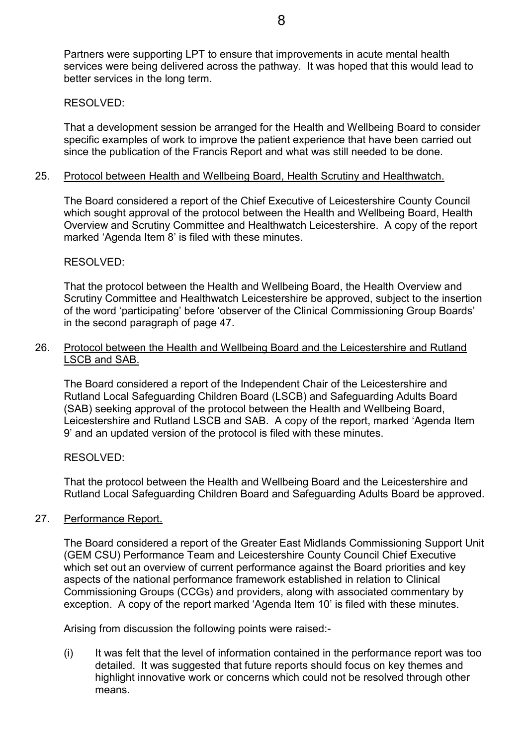Partners were supporting LPT to ensure that improvements in acute mental health services were being delivered across the pathway. It was hoped that this would lead to better services in the long term.

#### RESOLVED:

That a development session be arranged for the Health and Wellbeing Board to consider specific examples of work to improve the patient experience that have been carried out since the publication of the Francis Report and what was still needed to be done.

#### 25. Protocol between Health and Wellbeing Board, Health Scrutiny and Healthwatch.

The Board considered a report of the Chief Executive of Leicestershire County Council which sought approval of the protocol between the Health and Wellbeing Board, Health Overview and Scrutiny Committee and Healthwatch Leicestershire. A copy of the report marked 'Agenda Item 8' is filed with these minutes.

### RESOLVED:

That the protocol between the Health and Wellbeing Board, the Health Overview and Scrutiny Committee and Healthwatch Leicestershire be approved, subject to the insertion of the word 'participating' before 'observer of the Clinical Commissioning Group Boards' in the second paragraph of page 47.

### 26. Protocol between the Health and Wellbeing Board and the Leicestershire and Rutland LSCB and SAB.

The Board considered a report of the Independent Chair of the Leicestershire and Rutland Local Safeguarding Children Board (LSCB) and Safeguarding Adults Board (SAB) seeking approval of the protocol between the Health and Wellbeing Board, Leicestershire and Rutland LSCB and SAB. A copy of the report, marked 'Agenda Item 9' and an updated version of the protocol is filed with these minutes.

## RESOLVED:

That the protocol between the Health and Wellbeing Board and the Leicestershire and Rutland Local Safeguarding Children Board and Safeguarding Adults Board be approved.

## 27. Performance Report.

The Board considered a report of the Greater East Midlands Commissioning Support Unit (GEM CSU) Performance Team and Leicestershire County Council Chief Executive which set out an overview of current performance against the Board priorities and key aspects of the national performance framework established in relation to Clinical Commissioning Groups (CCGs) and providers, along with associated commentary by exception. A copy of the report marked 'Agenda Item 10' is filed with these minutes.

Arising from discussion the following points were raised:-

(i) It was felt that the level of information contained in the performance report was too detailed. It was suggested that future reports should focus on key themes and highlight innovative work or concerns which could not be resolved through other means.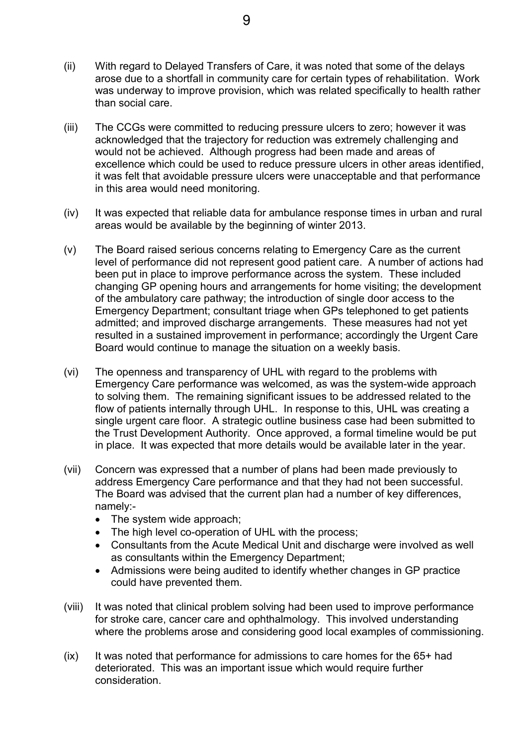- (ii) With regard to Delayed Transfers of Care, it was noted that some of the delays arose due to a shortfall in community care for certain types of rehabilitation. Work was underway to improve provision, which was related specifically to health rather than social care.
- (iii) The CCGs were committed to reducing pressure ulcers to zero; however it was acknowledged that the trajectory for reduction was extremely challenging and would not be achieved. Although progress had been made and areas of excellence which could be used to reduce pressure ulcers in other areas identified, it was felt that avoidable pressure ulcers were unacceptable and that performance in this area would need monitoring.
- (iv) It was expected that reliable data for ambulance response times in urban and rural areas would be available by the beginning of winter 2013.
- (v) The Board raised serious concerns relating to Emergency Care as the current level of performance did not represent good patient care. A number of actions had been put in place to improve performance across the system. These included changing GP opening hours and arrangements for home visiting; the development of the ambulatory care pathway; the introduction of single door access to the Emergency Department; consultant triage when GPs telephoned to get patients admitted; and improved discharge arrangements. These measures had not yet resulted in a sustained improvement in performance; accordingly the Urgent Care Board would continue to manage the situation on a weekly basis.
- (vi) The openness and transparency of UHL with regard to the problems with Emergency Care performance was welcomed, as was the system-wide approach to solving them. The remaining significant issues to be addressed related to the flow of patients internally through UHL. In response to this, UHL was creating a single urgent care floor. A strategic outline business case had been submitted to the Trust Development Authority. Once approved, a formal timeline would be put in place. It was expected that more details would be available later in the year.
- (vii) Concern was expressed that a number of plans had been made previously to address Emergency Care performance and that they had not been successful. The Board was advised that the current plan had a number of key differences, namely:-
	- The system wide approach;
	- The high level co-operation of UHL with the process;
	- Consultants from the Acute Medical Unit and discharge were involved as well as consultants within the Emergency Department;
	- Admissions were being audited to identify whether changes in GP practice could have prevented them.
- (viii) It was noted that clinical problem solving had been used to improve performance for stroke care, cancer care and ophthalmology. This involved understanding where the problems arose and considering good local examples of commissioning.
- $(ix)$  It was noted that performance for admissions to care homes for the  $65+$  had deteriorated. This was an important issue which would require further consideration.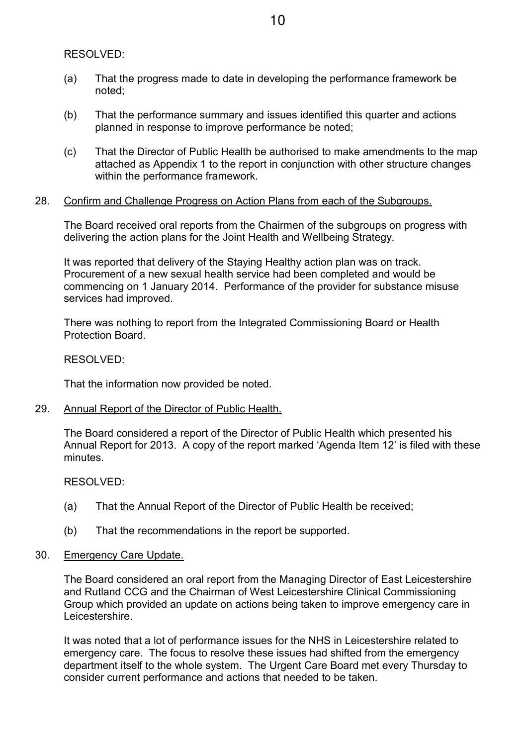RESOLVED:

- (a) That the progress made to date in developing the performance framework be noted;
- (b) That the performance summary and issues identified this quarter and actions planned in response to improve performance be noted;
- (c) That the Director of Public Health be authorised to make amendments to the map attached as Appendix 1 to the report in conjunction with other structure changes within the performance framework.

### 28. Confirm and Challenge Progress on Action Plans from each of the Subgroups.

The Board received oral reports from the Chairmen of the subgroups on progress with delivering the action plans for the Joint Health and Wellbeing Strategy.

It was reported that delivery of the Staying Healthy action plan was on track. Procurement of a new sexual health service had been completed and would be commencing on 1 January 2014. Performance of the provider for substance misuse services had improved.

There was nothing to report from the Integrated Commissioning Board or Health Protection Board.

RESOLVED:

That the information now provided be noted.

29. Annual Report of the Director of Public Health.

The Board considered a report of the Director of Public Health which presented his Annual Report for 2013. A copy of the report marked 'Agenda Item 12' is filed with these minutes.

RESOLVED:

- (a) That the Annual Report of the Director of Public Health be received;
- (b) That the recommendations in the report be supported.
- 30. Emergency Care Update.

The Board considered an oral report from the Managing Director of East Leicestershire and Rutland CCG and the Chairman of West Leicestershire Clinical Commissioning Group which provided an update on actions being taken to improve emergency care in Leicestershire.

It was noted that a lot of performance issues for the NHS in Leicestershire related to emergency care. The focus to resolve these issues had shifted from the emergency department itself to the whole system. The Urgent Care Board met every Thursday to consider current performance and actions that needed to be taken.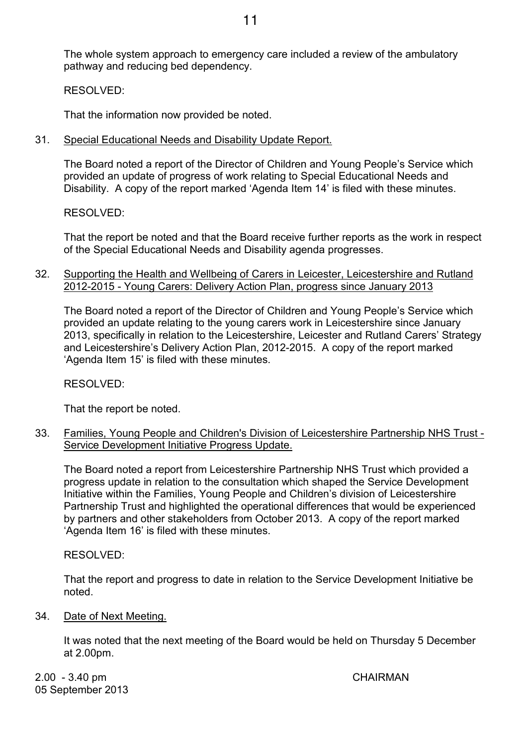The whole system approach to emergency care included a review of the ambulatory pathway and reducing bed dependency.

RESOLVED:

That the information now provided be noted.

31. Special Educational Needs and Disability Update Report.

The Board noted a report of the Director of Children and Young People's Service which provided an update of progress of work relating to Special Educational Needs and Disability. A copy of the report marked 'Agenda Item 14' is filed with these minutes.

RESOLVED:

That the report be noted and that the Board receive further reports as the work in respect of the Special Educational Needs and Disability agenda progresses.

32. Supporting the Health and Wellbeing of Carers in Leicester, Leicestershire and Rutland 2012-2015 - Young Carers: Delivery Action Plan, progress since January 2013

The Board noted a report of the Director of Children and Young People's Service which provided an update relating to the young carers work in Leicestershire since January 2013, specifically in relation to the Leicestershire, Leicester and Rutland Carers' Strategy and Leicestershire's Delivery Action Plan, 2012-2015. A copy of the report marked 'Agenda Item 15' is filed with these minutes.

RESOLVED:

That the report be noted.

33. Families, Young People and Children's Division of Leicestershire Partnership NHS Trust - Service Development Initiative Progress Update.

The Board noted a report from Leicestershire Partnership NHS Trust which provided a progress update in relation to the consultation which shaped the Service Development Initiative within the Families, Young People and Children's division of Leicestershire Partnership Trust and highlighted the operational differences that would be experienced by partners and other stakeholders from October 2013. A copy of the report marked 'Agenda Item 16' is filed with these minutes.

RESOLVED:

That the report and progress to date in relation to the Service Development Initiative be noted.

34. Date of Next Meeting.

It was noted that the next meeting of the Board would be held on Thursday 5 December at 2.00pm.

2.00 - 3.40 pm CHAIRMAN 05 September 2013